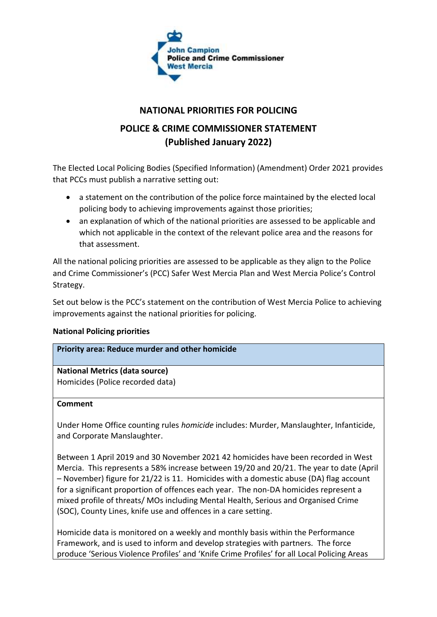

# **NATIONAL PRIORITIES FOR POLICING**

# **POLICE & CRIME COMMISSIONER STATEMENT (Published January 2022)**

The Elected Local Policing Bodies (Specified Information) (Amendment) Order 2021 provides that PCCs must publish a narrative setting out:

- a statement on the contribution of the police force maintained by the elected local policing body to achieving improvements against those priorities;
- an explanation of which of the national priorities are assessed to be applicable and which not applicable in the context of the relevant police area and the reasons for that assessment.

All the national policing priorities are assessed to be applicable as they align to the Police and Crime Commissioner's (PCC) Safer West Mercia Plan and West Mercia Police's Control Strategy.

Set out below is the PCC's statement on the contribution of West Mercia Police to achieving improvements against the national priorities for policing.

# **National Policing priorities**

# **Priority area: Reduce murder and other homicide**

**National Metrics (data source)** Homicides (Police recorded data)

# **Comment**

Under Home Office counting rules *homicide* includes: Murder, Manslaughter, Infanticide, and Corporate Manslaughter.

Between 1 April 2019 and 30 November 2021 42 homicides have been recorded in West Mercia. This represents a 58% increase between 19/20 and 20/21. The year to date (April – November) figure for 21/22 is 11. Homicides with a domestic abuse (DA) flag account for a significant proportion of offences each year. The non-DA homicides represent a mixed profile of threats/ MOs including Mental Health, Serious and Organised Crime (SOC), County Lines, knife use and offences in a care setting.

Homicide data is monitored on a weekly and monthly basis within the Performance Framework, and is used to inform and develop strategies with partners. The force produce 'Serious Violence Profiles' and 'Knife Crime Profiles' for all Local Policing Areas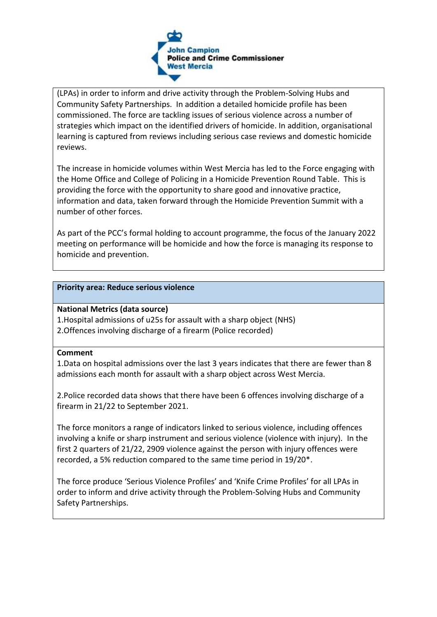

(LPAs) in order to inform and drive activity through the Problem-Solving Hubs and Community Safety Partnerships. In addition a detailed homicide profile has been commissioned. The force are tackling issues of serious violence across a number of strategies which impact on the identified drivers of homicide. In addition, organisational learning is captured from reviews including serious case reviews and domestic homicide reviews.

The increase in homicide volumes within West Mercia has led to the Force engaging with the Home Office and College of Policing in a Homicide Prevention Round Table. This is providing the force with the opportunity to share good and innovative practice, information and data, taken forward through the Homicide Prevention Summit with a number of other forces.

As part of the PCC's formal holding to account programme, the focus of the January 2022 meeting on performance will be homicide and how the force is managing its response to homicide and prevention.

## **Priority area: Reduce serious violence**

# **National Metrics (data source)**

1.Hospital admissions of u25s for assault with a sharp object (NHS) 2.Offences involving discharge of a firearm (Police recorded)

# **Comment**

1.Data on hospital admissions over the last 3 years indicates that there are fewer than 8 admissions each month for assault with a sharp object across West Mercia.

2.Police recorded data shows that there have been 6 offences involving discharge of a firearm in 21/22 to September 2021.

The force monitors a range of indicators linked to serious violence, including offences involving a knife or sharp instrument and serious violence (violence with injury). In the first 2 quarters of 21/22, 2909 violence against the person with injury offences were recorded, a 5% reduction compared to the same time period in 19/20\*.

The force produce 'Serious Violence Profiles' and 'Knife Crime Profiles' for all LPAs in order to inform and drive activity through the Problem-Solving Hubs and Community Safety Partnerships.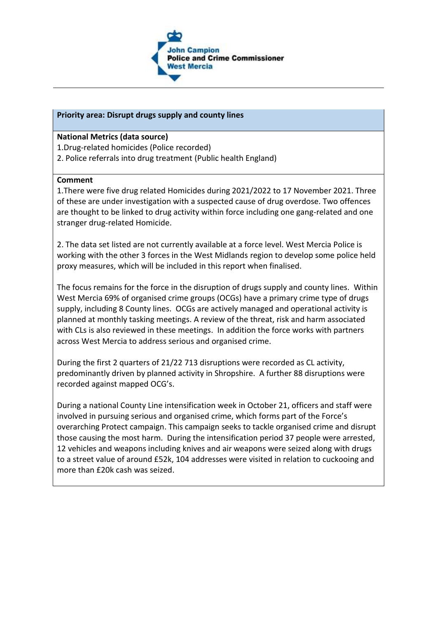

## **Priority area: Disrupt drugs supply and county lines**

# **National Metrics (data source)**

1.Drug-related homicides (Police recorded)

2. Police referrals into drug treatment (Public health England)

# **Comment**

1.There were five drug related Homicides during 2021/2022 to 17 November 2021. Three of these are under investigation with a suspected cause of drug overdose. Two offences are thought to be linked to drug activity within force including one gang-related and one stranger drug-related Homicide.

2. The data set listed are not currently available at a force level. West Mercia Police is working with the other 3 forces in the West Midlands region to develop some police held proxy measures, which will be included in this report when finalised.

The focus remains for the force in the disruption of drugs supply and county lines. Within West Mercia 69% of organised crime groups (OCGs) have a primary crime type of drugs supply, including 8 County lines. OCGs are actively managed and operational activity is planned at monthly tasking meetings. A review of the threat, risk and harm associated with CLs is also reviewed in these meetings. In addition the force works with partners across West Mercia to address serious and organised crime.

During the first 2 quarters of 21/22 713 disruptions were recorded as CL activity, predominantly driven by planned activity in Shropshire. A further 88 disruptions were recorded against mapped OCG's.

During a national County Line intensification week in October 21, officers and staff were involved in pursuing serious and organised crime, which forms part of the Force's overarching Protect campaign. This campaign seeks to tackle organised crime and disrupt those causing the most harm. During the intensification period 37 people were arrested, 12 vehicles and weapons including knives and air weapons were seized along with drugs to a street value of around £52k, 104 addresses were visited in relation to cuckooing and more than £20k cash was seized.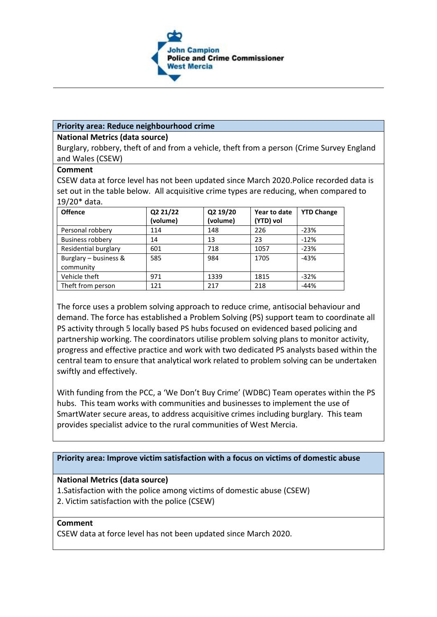

# **Priority area: Reduce neighbourhood crime**

# **National Metrics (data source)**

Burglary, robbery, theft of and from a vehicle, theft from a person (Crime Survey England and Wales (CSEW)

## **Comment**

CSEW data at force level has not been updated since March 2020.Police recorded data is set out in the table below. All acquisitive crime types are reducing, when compared to 19/20\* data.

| <b>Offence</b>                     | Q2 21/22<br>(volume) | Q2 19/20<br>(volume) | Year to date<br>(YTD) vol | <b>YTD Change</b> |
|------------------------------------|----------------------|----------------------|---------------------------|-------------------|
| Personal robbery                   | 114                  | 148                  | 226                       | $-23%$            |
| <b>Business robbery</b>            | 14                   | 13                   | 23                        | $-12%$            |
| Residential burglary               | 601                  | 718                  | 1057                      | $-23%$            |
| Burglary - business &<br>community | 585                  | 984                  | 1705                      | $-43%$            |
| Vehicle theft                      | 971                  | 1339                 | 1815                      | $-32%$            |
| Theft from person                  | 121                  | 217                  | 218                       | $-44%$            |

The force uses a problem solving approach to reduce crime, antisocial behaviour and demand. The force has established a Problem Solving (PS) support team to coordinate all PS activity through 5 locally based PS hubs focused on evidenced based policing and partnership working. The coordinators utilise problem solving plans to monitor activity, progress and effective practice and work with two dedicated PS analysts based within the central team to ensure that analytical work related to problem solving can be undertaken swiftly and effectively.

With funding from the PCC, a 'We Don't Buy Crime' (WDBC) Team operates within the PS hubs. This team works with communities and businesses to implement the use of SmartWater secure areas, to address acquisitive crimes including burglary. This team provides specialist advice to the rural communities of West Mercia.

## **Priority area: Improve victim satisfaction with a focus on victims of domestic abuse**

## **National Metrics (data source)**

1.Satisfaction with the police among victims of domestic abuse (CSEW) 2. Victim satisfaction with the police (CSEW)

## **Comment**

CSEW data at force level has not been updated since March 2020.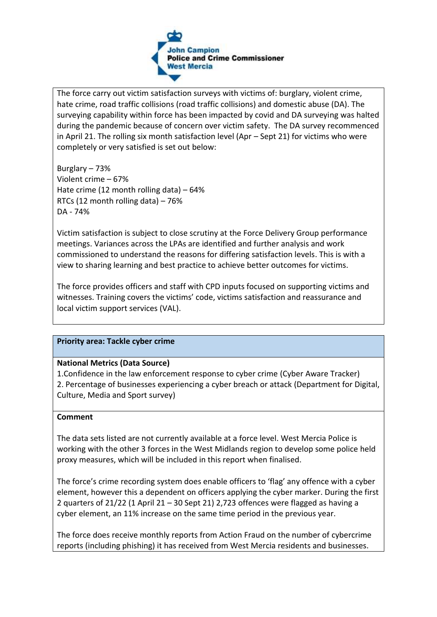

The force carry out victim satisfaction surveys with victims of: burglary, violent crime, hate crime, road traffic collisions (road traffic collisions) and domestic abuse (DA). The surveying capability within force has been impacted by covid and DA surveying was halted during the pandemic because of concern over victim safety. The DA survey recommenced in April 21. The rolling six month satisfaction level (Apr – Sept 21) for victims who were completely or very satisfied is set out below:

Burglary – 73% Violent crime – 67% Hate crime (12 month rolling data) – 64% RTCs (12 month rolling data) – 76% DA - 74%

Victim satisfaction is subject to close scrutiny at the Force Delivery Group performance meetings. Variances across the LPAs are identified and further analysis and work commissioned to understand the reasons for differing satisfaction levels. This is with a view to sharing learning and best practice to achieve better outcomes for victims.

The force provides officers and staff with CPD inputs focused on supporting victims and witnesses. Training covers the victims' code, victims satisfaction and reassurance and local victim support services (VAL).

# **Priority area: Tackle cyber crime**

## **National Metrics (Data Source)**

1.Confidence in the law enforcement response to cyber crime (Cyber Aware Tracker) 2. Percentage of businesses experiencing a cyber breach or attack (Department for Digital, Culture, Media and Sport survey)

## **Comment**

The data sets listed are not currently available at a force level. West Mercia Police is working with the other 3 forces in the West Midlands region to develop some police held proxy measures, which will be included in this report when finalised.

The force's crime recording system does enable officers to 'flag' any offence with a cyber element, however this a dependent on officers applying the cyber marker. During the first 2 quarters of 21/22 (1 April 21 – 30 Sept 21) 2,723 offences were flagged as having a cyber element, an 11% increase on the same time period in the previous year.

The force does receive monthly reports from Action Fraud on the number of cybercrime reports (including phishing) it has received from West Mercia residents and businesses.